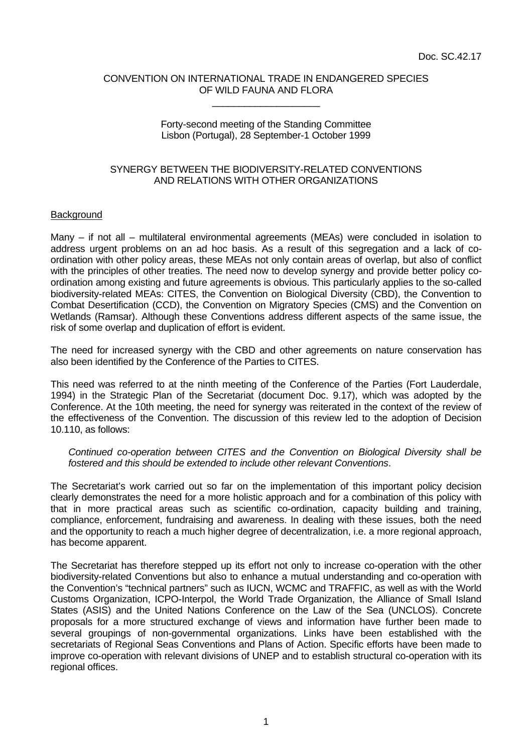#### CONVENTION ON INTERNATIONAL TRADE IN ENDANGERED SPECIES OF WILD FAUNA AND FLORA \_\_\_\_\_\_\_\_\_\_\_\_\_\_\_\_\_\_\_\_

#### Forty-second meeting of the Standing Committee Lisbon (Portugal), 28 September-1 October 1999

### SYNERGY BETWEEN THE BIODIVERSITY-RELATED CONVENTIONS AND RELATIONS WITH OTHER ORGANIZATIONS

### **Background**

Many – if not all – multilateral environmental agreements (MEAs) were concluded in isolation to address urgent problems on an ad hoc basis. As a result of this segregation and a lack of coordination with other policy areas, these MEAs not only contain areas of overlap, but also of conflict with the principles of other treaties. The need now to develop synergy and provide better policy coordination among existing and future agreements is obvious. This particularly applies to the so-called biodiversity-related MEAs: CITES, the Convention on Biological Diversity (CBD), the Convention to Combat Desertification (CCD), the Convention on Migratory Species (CMS) and the Convention on Wetlands (Ramsar). Although these Conventions address different aspects of the same issue, the risk of some overlap and duplication of effort is evident.

The need for increased synergy with the CBD and other agreements on nature conservation has also been identified by the Conference of the Parties to CITES.

This need was referred to at the ninth meeting of the Conference of the Parties (Fort Lauderdale, 1994) in the Strategic Plan of the Secretariat (document Doc. 9.17), which was adopted by the Conference. At the 10th meeting, the need for synergy was reiterated in the context of the review of the effectiveness of the Convention. The discussion of this review led to the adoption of Decision 10.110, as follows:

*Continued co-operation between CITES and the Convention on Biological Diversity shall be fostered and this should be extended to include other relevant Conventions*.

The Secretariat's work carried out so far on the implementation of this important policy decision clearly demonstrates the need for a more holistic approach and for a combination of this policy with that in more practical areas such as scientific co-ordination, capacity building and training, compliance, enforcement, fundraising and awareness. In dealing with these issues, both the need and the opportunity to reach a much higher degree of decentralization, i.e. a more regional approach, has become apparent.

The Secretariat has therefore stepped up its effort not only to increase co-operation with the other biodiversity-related Conventions but also to enhance a mutual understanding and co-operation with the Convention's "technical partners" such as IUCN, WCMC and TRAFFIC, as well as with the World Customs Organization, ICPO-Interpol, the World Trade Organization, the Alliance of Small Island States (ASIS) and the United Nations Conference on the Law of the Sea (UNCLOS). Concrete proposals for a more structured exchange of views and information have further been made to several groupings of non-governmental organizations. Links have been established with the secretariats of Regional Seas Conventions and Plans of Action. Specific efforts have been made to improve co-operation with relevant divisions of UNEP and to establish structural co-operation with its regional offices.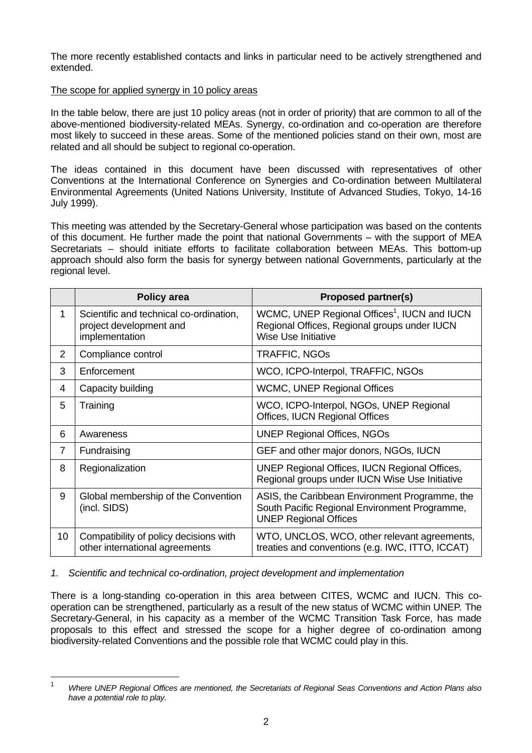The more recently established contacts and links in particular need to be actively strengthened and extended.

## The scope for applied synergy in 10 policy areas

In the table below, there are just 10 policy areas (not in order of priority) that are common to all of the above-mentioned biodiversity-related MEAs. Synergy, co-ordination and co-operation are therefore most likely to succeed in these areas. Some of the mentioned policies stand on their own, most are related and all should be subject to regional co-operation.

The ideas contained in this document have been discussed with representatives of other Conventions at the International Conference on Synergies and Co-ordination between Multilateral Environmental Agreements (United Nations University, Institute of Advanced Studies, Tokyo, 14-16 July 1999).

This meeting was attended by the Secretary-General whose participation was based on the contents of this document. He further made the point that national Governments – with the support of MEA Secretariats – should initiate efforts to facilitate collaboration between MEAs. This bottom-up approach should also form the basis for synergy between national Governments, particularly at the regional level.

|                | Policy area                                                                          | <b>Proposed partner(s)</b>                                                                                                             |
|----------------|--------------------------------------------------------------------------------------|----------------------------------------------------------------------------------------------------------------------------------------|
| 1              | Scientific and technical co-ordination,<br>project development and<br>implementation | WCMC, UNEP Regional Offices <sup>1</sup> , IUCN and IUCN<br>Regional Offices, Regional groups under IUCN<br><b>Wise Use Initiative</b> |
| 2              | Compliance control                                                                   | <b>TRAFFIC, NGOS</b>                                                                                                                   |
| 3              | Enforcement                                                                          | WCO, ICPO-Interpol, TRAFFIC, NGOs                                                                                                      |
| 4              | Capacity building                                                                    | <b>WCMC, UNEP Regional Offices</b>                                                                                                     |
| 5              | Training                                                                             | WCO, ICPO-Interpol, NGOs, UNEP Regional<br>Offices, IUCN Regional Offices                                                              |
| 6              | Awareness                                                                            | <b>UNEP Regional Offices, NGOs</b>                                                                                                     |
| $\overline{7}$ | Fundraising                                                                          | GEF and other major donors, NGOs, IUCN                                                                                                 |
| 8              | Regionalization                                                                      | UNEP Regional Offices, IUCN Regional Offices,<br>Regional groups under IUCN Wise Use Initiative                                        |
| 9              | Global membership of the Convention<br>(incl. SIDS)                                  | ASIS, the Caribbean Environment Programme, the<br>South Pacific Regional Environment Programme,<br><b>UNEP Regional Offices</b>        |
| 10             | Compatibility of policy decisions with<br>other international agreements             | WTO, UNCLOS, WCO, other relevant agreements,<br>treaties and conventions (e.g. IWC, ITTO, ICCAT)                                       |

## *1. Scientific and technical co-ordination, project development and implementation*

There is a long-standing co-operation in this area between CITES, WCMC and IUCN. This cooperation can be strengthened, particularly as a result of the new status of WCMC within UNEP. The Secretary-General, in his capacity as a member of the WCMC Transition Task Force, has made proposals to this effect and stressed the scope for a higher degree of co-ordination among biodiversity-related Conventions and the possible role that WCMC could play in this.

 $\overline{1}$ 

<sup>1</sup> *Where UNEP Regional Offices are mentioned, the Secretariats of Regional Seas Conventions and Action Plans also have a potential role to play.*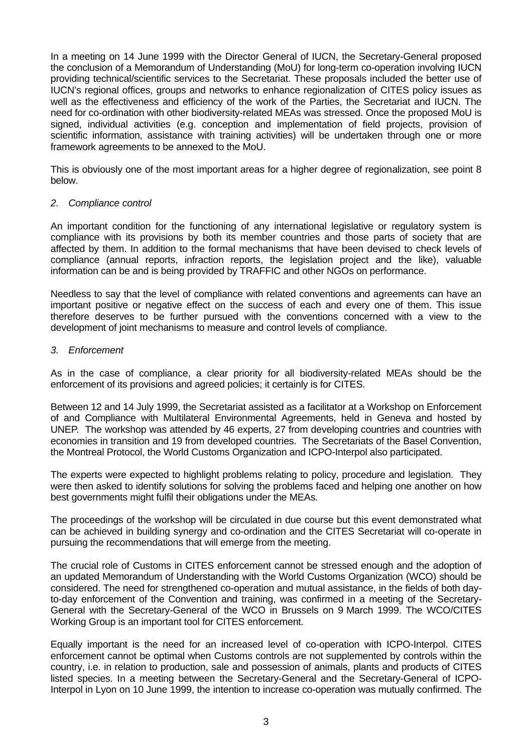In a meeting on 14 June 1999 with the Director General of IUCN, the Secretary-General proposed the conclusion of a Memorandum of Understanding (MoU) for long-term co-operation involving IUCN providing technical/scientific services to the Secretariat. These proposals included the better use of IUCN's regional offices, groups and networks to enhance regionalization of CITES policy issues as well as the effectiveness and efficiency of the work of the Parties, the Secretariat and IUCN. The need for co-ordination with other biodiversity-related MEAs was stressed. Once the proposed MoU is signed, individual activities (e.g. conception and implementation of field projects, provision of scientific information, assistance with training activities) will be undertaken through one or more framework agreements to be annexed to the MoU.

This is obviously one of the most important areas for a higher degree of regionalization, see point 8 below.

### *2. Compliance control*

An important condition for the functioning of any international legislative or regulatory system is compliance with its provisions by both its member countries and those parts of society that are affected by them. In addition to the formal mechanisms that have been devised to check levels of compliance (annual reports, infraction reports, the legislation project and the like), valuable information can be and is being provided by TRAFFIC and other NGOs on performance.

Needless to say that the level of compliance with related conventions and agreements can have an important positive or negative effect on the success of each and every one of them. This issue therefore deserves to be further pursued with the conventions concerned with a view to the development of joint mechanisms to measure and control levels of compliance.

### *3. Enforcement*

As in the case of compliance, a clear priority for all biodiversity-related MEAs should be the enforcement of its provisions and agreed policies; it certainly is for CITES.

Between 12 and 14 July 1999, the Secretariat assisted as a facilitator at a Workshop on Enforcement of and Compliance with Multilateral Environmental Agreements, held in Geneva and hosted by UNEP. The workshop was attended by 46 experts, 27 from developing countries and countries with economies in transition and 19 from developed countries. The Secretariats of the Basel Convention, the Montreal Protocol, the World Customs Organization and ICPO-Interpol also participated.

The experts were expected to highlight problems relating to policy, procedure and legislation. They were then asked to identify solutions for solving the problems faced and helping one another on how best governments might fulfil their obligations under the MEAs.

The proceedings of the workshop will be circulated in due course but this event demonstrated what can be achieved in building synergy and co-ordination and the CITES Secretariat will co-operate in pursuing the recommendations that will emerge from the meeting.

The crucial role of Customs in CITES enforcement cannot be stressed enough and the adoption of an updated Memorandum of Understanding with the World Customs Organization (WCO) should be considered. The need for strengthened co-operation and mutual assistance, in the fields of both dayto-day enforcement of the Convention and training, was confirmed in a meeting of the Secretary-General with the Secretary-General of the WCO in Brussels on 9 March 1999. The WCO/CITES Working Group is an important tool for CITES enforcement.

Equally important is the need for an increased level of co-operation with ICPO-Interpol. CITES enforcement cannot be optimal when Customs controls are not supplemented by controls within the country, i.e. in relation to production, sale and possession of animals, plants and products of CITES listed species. In a meeting between the Secretary-General and the Secretary-General of ICPO-Interpol in Lyon on 10 June 1999, the intention to increase co-operation was mutually confirmed. The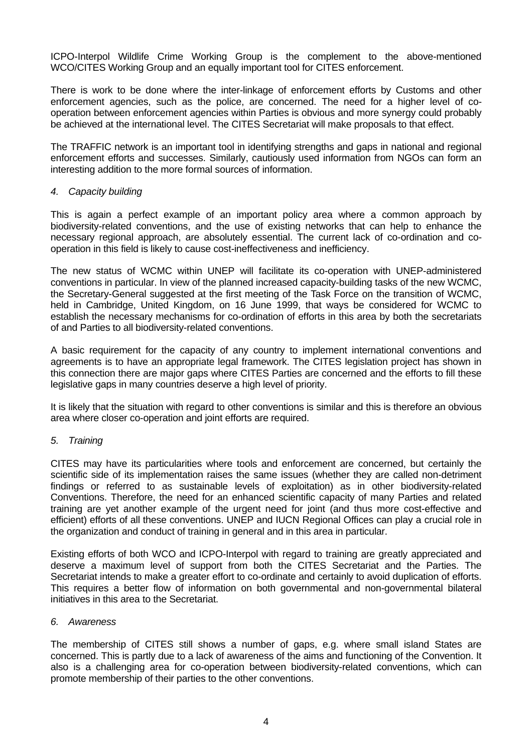ICPO-Interpol Wildlife Crime Working Group is the complement to the above-mentioned WCO/CITES Working Group and an equally important tool for CITES enforcement.

There is work to be done where the inter-linkage of enforcement efforts by Customs and other enforcement agencies, such as the police, are concerned. The need for a higher level of cooperation between enforcement agencies within Parties is obvious and more synergy could probably be achieved at the international level. The CITES Secretariat will make proposals to that effect.

The TRAFFIC network is an important tool in identifying strengths and gaps in national and regional enforcement efforts and successes. Similarly, cautiously used information from NGOs can form an interesting addition to the more formal sources of information.

### *4. Capacity building*

This is again a perfect example of an important policy area where a common approach by biodiversity-related conventions, and the use of existing networks that can help to enhance the necessary regional approach, are absolutely essential. The current lack of co-ordination and cooperation in this field is likely to cause cost-ineffectiveness and inefficiency.

The new status of WCMC within UNEP will facilitate its co-operation with UNEP-administered conventions in particular. In view of the planned increased capacity-building tasks of the new WCMC, the Secretary-General suggested at the first meeting of the Task Force on the transition of WCMC, held in Cambridge, United Kingdom, on 16 June 1999, that ways be considered for WCMC to establish the necessary mechanisms for co-ordination of efforts in this area by both the secretariats of and Parties to all biodiversity-related conventions.

A basic requirement for the capacity of any country to implement international conventions and agreements is to have an appropriate legal framework. The CITES legislation project has shown in this connection there are major gaps where CITES Parties are concerned and the efforts to fill these legislative gaps in many countries deserve a high level of priority.

It is likely that the situation with regard to other conventions is similar and this is therefore an obvious area where closer co-operation and joint efforts are required.

## *5. Training*

CITES may have its particularities where tools and enforcement are concerned, but certainly the scientific side of its implementation raises the same issues (whether they are called non-detriment findings or referred to as sustainable levels of exploitation) as in other biodiversity-related Conventions. Therefore, the need for an enhanced scientific capacity of many Parties and related training are yet another example of the urgent need for joint (and thus more cost-effective and efficient) efforts of all these conventions. UNEP and IUCN Regional Offices can play a crucial role in the organization and conduct of training in general and in this area in particular.

Existing efforts of both WCO and ICPO-Interpol with regard to training are greatly appreciated and deserve a maximum level of support from both the CITES Secretariat and the Parties. The Secretariat intends to make a greater effort to co-ordinate and certainly to avoid duplication of efforts. This requires a better flow of information on both governmental and non-governmental bilateral initiatives in this area to the Secretariat.

#### *6. Awareness*

The membership of CITES still shows a number of gaps, e.g. where small island States are concerned. This is partly due to a lack of awareness of the aims and functioning of the Convention. It also is a challenging area for co-operation between biodiversity-related conventions, which can promote membership of their parties to the other conventions.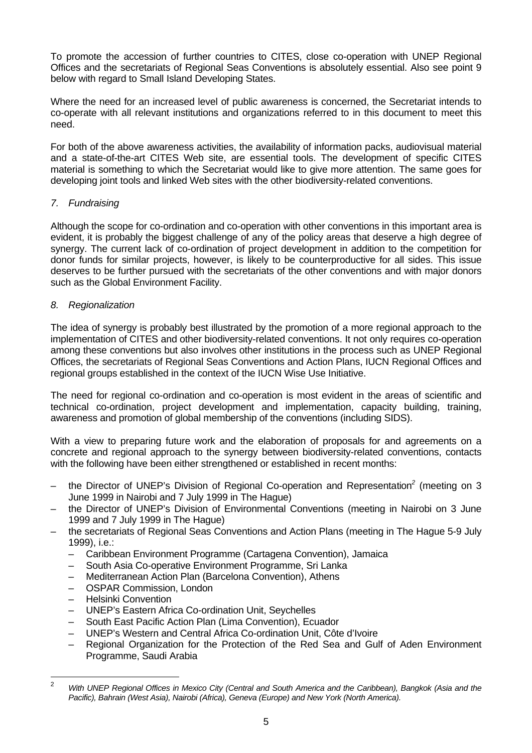To promote the accession of further countries to CITES, close co-operation with UNEP Regional Offices and the secretariats of Regional Seas Conventions is absolutely essential. Also see point 9 below with regard to Small Island Developing States.

Where the need for an increased level of public awareness is concerned, the Secretariat intends to co-operate with all relevant institutions and organizations referred to in this document to meet this need.

For both of the above awareness activities, the availability of information packs, audiovisual material and a state-of-the-art CITES Web site, are essential tools. The development of specific CITES material is something to which the Secretariat would like to give more attention. The same goes for developing joint tools and linked Web sites with the other biodiversity-related conventions.

# *7. Fundraising*

Although the scope for co-ordination and co-operation with other conventions in this important area is evident, it is probably the biggest challenge of any of the policy areas that deserve a high degree of synergy. The current lack of co-ordination of project development in addition to the competition for donor funds for similar projects, however, is likely to be counterproductive for all sides. This issue deserves to be further pursued with the secretariats of the other conventions and with major donors such as the Global Environment Facility.

# *8. Regionalization*

The idea of synergy is probably best illustrated by the promotion of a more regional approach to the implementation of CITES and other biodiversity-related conventions. It not only requires co-operation among these conventions but also involves other institutions in the process such as UNEP Regional Offices, the secretariats of Regional Seas Conventions and Action Plans, IUCN Regional Offices and regional groups established in the context of the IUCN Wise Use Initiative.

The need for regional co-ordination and co-operation is most evident in the areas of scientific and technical co-ordination, project development and implementation, capacity building, training, awareness and promotion of global membership of the conventions (including SIDS).

With a view to preparing future work and the elaboration of proposals for and agreements on a concrete and regional approach to the synergy between biodiversity-related conventions, contacts with the following have been either strengthened or established in recent months:

- the Director of UNEP's Division of Regional Co-operation and Representation*<sup>2</sup>* (meeting on 3 June 1999 in Nairobi and 7 July 1999 in The Hague)
- the Director of UNEP's Division of Environmental Conventions (meeting in Nairobi on 3 June 1999 and 7 July 1999 in The Hague)
- the secretariats of Regional Seas Conventions and Action Plans (meeting in The Hague 5-9 July 1999), i.e.:
	- Caribbean Environment Programme (Cartagena Convention), Jamaica
	- South Asia Co-operative Environment Programme, Sri Lanka
	- Mediterranean Action Plan (Barcelona Convention), Athens
	- OSPAR Commission, London
	- Helsinki Convention
	- UNEP's Eastern Africa Co-ordination Unit, Seychelles
	- South East Pacific Action Plan (Lima Convention), Ecuador
	- UNEP's Western and Central Africa Co-ordination Unit, Côte d'Ivoire
	- Regional Organization for the Protection of the Red Sea and Gulf of Aden Environment Programme, Saudi Arabia

 $\overline{2}$ <sup>2</sup> *With UNEP Regional Offices in Mexico City (Central and South America and the Caribbean), Bangkok (Asia and the Pacific), Bahrain (West Asia), Nairobi (Africa), Geneva (Europe) and New York (North America).*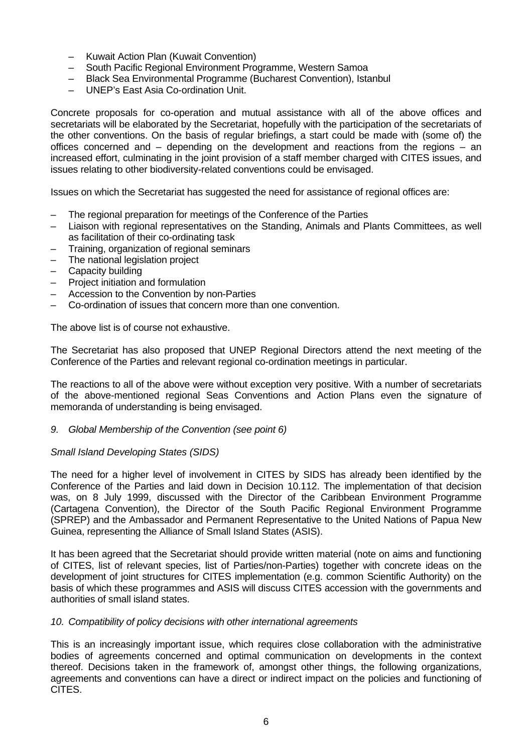- Kuwait Action Plan (Kuwait Convention)
- South Pacific Regional Environment Programme, Western Samoa
- Black Sea Environmental Programme (Bucharest Convention), Istanbul
- UNEP's East Asia Co-ordination Unit.

Concrete proposals for co-operation and mutual assistance with all of the above offices and secretariats will be elaborated by the Secretariat, hopefully with the participation of the secretariats of the other conventions. On the basis of regular briefings, a start could be made with (some of) the offices concerned and – depending on the development and reactions from the regions – an increased effort, culminating in the joint provision of a staff member charged with CITES issues, and issues relating to other biodiversity-related conventions could be envisaged.

Issues on which the Secretariat has suggested the need for assistance of regional offices are:

- The regional preparation for meetings of the Conference of the Parties
- Liaison with regional representatives on the Standing, Animals and Plants Committees, as well as facilitation of their co-ordinating task
- Training, organization of regional seminars
- The national legislation project
- Capacity building
- Project initiation and formulation
- Accession to the Convention by non-Parties
- Co-ordination of issues that concern more than one convention.

The above list is of course not exhaustive.

The Secretariat has also proposed that UNEP Regional Directors attend the next meeting of the Conference of the Parties and relevant regional co-ordination meetings in particular.

The reactions to all of the above were without exception very positive. With a number of secretariats of the above-mentioned regional Seas Conventions and Action Plans even the signature of memoranda of understanding is being envisaged.

## *9. Global Membership of the Convention (see point 6)*

## *Small Island Developing States (SIDS)*

The need for a higher level of involvement in CITES by SIDS has already been identified by the Conference of the Parties and laid down in Decision 10.112. The implementation of that decision was, on 8 July 1999, discussed with the Director of the Caribbean Environment Programme (Cartagena Convention), the Director of the South Pacific Regional Environment Programme (SPREP) and the Ambassador and Permanent Representative to the United Nations of Papua New Guinea, representing the Alliance of Small Island States (ASIS).

It has been agreed that the Secretariat should provide written material (note on aims and functioning of CITES, list of relevant species, list of Parties/non-Parties) together with concrete ideas on the development of joint structures for CITES implementation (e.g. common Scientific Authority) on the basis of which these programmes and ASIS will discuss CITES accession with the governments and authorities of small island states.

## *10. Compatibility of policy decisions with other international agreements*

This is an increasingly important issue, which requires close collaboration with the administrative bodies of agreements concerned and optimal communication on developments in the context thereof. Decisions taken in the framework of, amongst other things, the following organizations, agreements and conventions can have a direct or indirect impact on the policies and functioning of CITES.